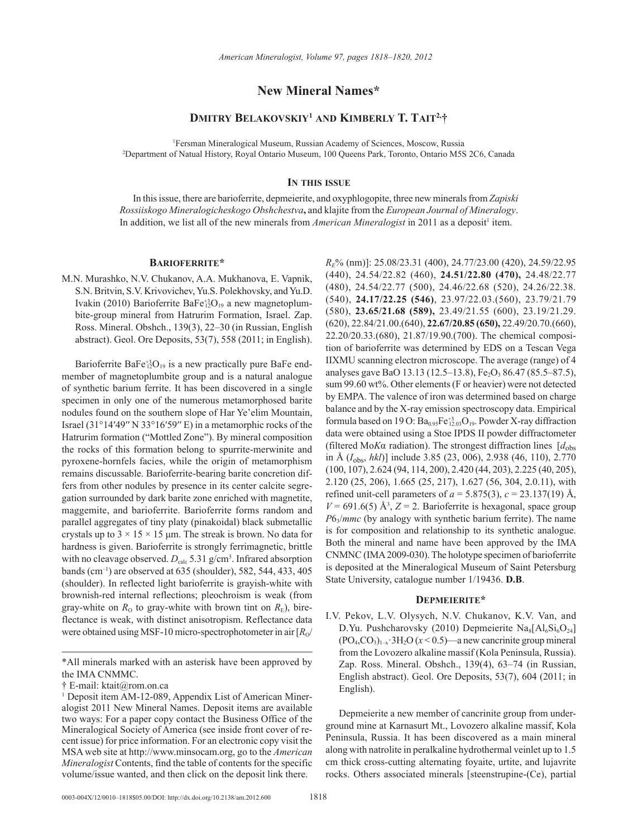## **New Mineral Names\***

## **Dmitry Belakovskiy1 and Kimberly T. Tait2,†**

1 Fersman Mineralogical Museum, Russian Academy of Sciences, Moscow, Russia 2 Department of Natual History, Royal Ontario Museum, 100 Queens Park, Toronto, Ontario M5S 2C6, Canada

#### **In this issue**

In this issue, there are barioferrite, depmeierite, and oxyphlogopite, three new minerals from *Zapiski Rossiiskogo Mineralogicheskogo Obshchestva***,** and klajite from the *European Journal of Mineralogy*. In addition, we list all of the new minerals from *American Mineralogist* in 2011 as a deposit<sup>1</sup> item.

### **Barioferrite\***

M.N. Murashko, N.V. Chukanov, A.A. Mukhanova, E. Vapnik, S.N. Britvin, S.V. Krivovichev, Yu.S. Polekhovsky, and Yu.D. Ivakin (2010) Barioferrite BaFe<sup>+3</sup><sub>12</sub>O<sub>19</sub> a new magnetoplumbite-group mineral from Hatrurim Formation, Israel. Zap. Ross. Mineral. Obshch., 139(3), 22–30 (in Russian, English abstract). Geol. Ore Deposits, 53(7), 558 (2011; in English).

Barioferrite  $BaFe^{+3}_{12}O_{19}$  is a new practically pure BaFe endmember of magnetoplumbite group and is a natural analogue of synthetic barium ferrite. It has been discovered in a single specimen in only one of the numerous metamorphosed barite nodules found on the southern slope of Har Ye'elim Mountain, Israel (31°14′49′′ N 33°16′59′′ E) in a metamorphic rocks of the Hatrurim formation ("Mottled Zone"). By mineral composition the rocks of this formation belong to spurrite-merwinite and pyroxene-hornfels facies, while the origin of metamorphism remains discussable. Barioferrite-bearing barite concretion differs from other nodules by presence in its center calcite segregation surrounded by dark barite zone enriched with magnetite, maggemite, and barioferrite. Barioferrite forms random and parallel aggregates of tiny platy (pinakoidal) black submetallic crystals up to  $3 \times 15 \times 15$  µm. The streak is brown. No data for hardness is given. Barioferrite is strongly ferrimagnetic, brittle with no cleavage observed.  $D_{\text{calc}}$  5.31 g/cm<sup>3</sup>. Infrared absorption bands (cm–1) are observed at 635 (shoulder), 582, 544, 433, 405 (shoulder). In reflected light barioferrite is grayish-white with brownish-red internal reflections; pleochroism is weak (from gray-white on  $R_0$  to gray-white with brown tint on  $R_{\rm E}$ ), bireflectance is weak, with distinct anisotropism. Reflectance data were obtained using MSF-10 micro-spectrophotometer in air  $\left[R_{\alpha}\right]$ 

\*All minerals marked with an asterisk have been approved by the IMA CNMMC.

*RE*% (nm)]: 25.08/23.31 (400), 24.77/23.00 (420), 24.59/22.95 (440), 24.54/22.82 (460), **24.51/22.80 (470),** 24.48/22.77 (480), 24.54/22.77 (500), 24.46/22.68 (520), 24.26/22.38. (540), **24.17/22.25 (546)**, 23.97/22.03.(560), 23.79/21.79 (580), **23.65/21.68 (589),** 23.49/21.55 (600), 23.19/21.29. (620), 22.84/21.00.(640), **22.67/20.85 (650),** 22.49/20.70.(660), 22.20/20.33.(680), 21.87/19.90.(700). The chemical composition of barioferrite was determined by EDS on a Tescan Vega IIXMU scanning electron microscope. The average (range) of 4 analyses gave BaO 13.13 (12.5–13.8), Fe<sub>2</sub>O<sub>3</sub> 86.47 (85.5–87.5), sum 99.60 wt%. Other elements (F or heavier) were not detected by EMPA. The valence of iron was determined based on charge balance and by the X-ray emission spectroscopy data. Empirical formula based on 19 O:  $Ba<sub>0.95</sub>Fe<sup>+3</sup><sub>12.03</sub>O<sub>19</sub>$ . Powder X-ray diffraction data were obtained using a Stoe IPDS II powder diffractometer (filtered Mo*K*α radiation). The strongest diffraction lines [*d*obs in Å (*I*obs, *hkl*)] include 3.85 (23, 006), 2.938 (46, 110), 2.770 (100, 107), 2.624 (94, 114, 200), 2.420 (44, 203), 2.225 (40, 205), 2.120 (25, 206), 1.665 (25, 217), 1.627 (56, 304, 2.0.11), with refined unit-cell parameters of  $a = 5.875(3)$ ,  $c = 23.137(19)$  Å,  $V = 691.6(5)$  Å<sup>3</sup>,  $Z = 2$ . Barioferrite is hexagonal, space group *P*63/*mmc* (by analogy with synthetic barium ferrite). The name is for composition and relationship to its synthetic analogue. Both the mineral and name have been approved by the IMA CNMNC (IMA 2009-030). The holotype specimen of barioferrite is deposited at the Mineralogical Museum of Saint Petersburg State University, catalogue number 1/19436. **D.B**.

#### **Depmeierite\***

I.V. Pekov, L.V. Olysych, N.V. Chukanov, K.V. Van, and D.Yu. Pushcharovsky (2010) Depmeierite  $\text{Na}_8[\text{Al}_6\text{Si}_6\text{O}_{24}]$  $(PO<sub>4</sub>, CO<sub>3</sub>)<sub>1-x</sub>$  3H<sub>2</sub>O ( $x < 0.5$ )—a new cancrinite group mineral from the Lovozero alkaline massif (Kola Peninsula, Russia). Zap. Ross. Mineral. Obshch., 139(4), 63–74 (in Russian, English abstract). Geol. Ore Deposits, 53(7), 604 (2011; in English).

Depmeierite a new member of cancrinite group from underground mine at Karnasurt Mt., Lovozero alkaline massif, Kola Peninsula, Russia. It has been discovered as a main mineral along with natrolite in peralkaline hydrothermal veinlet up to 1.5 cm thick cross-cutting alternating foyaite, urtite, and lujavrite rocks. Others associated minerals [steenstrupine-(Ce), partial

<sup>†</sup> E-mail: ktait@rom.on.ca

<sup>&</sup>lt;sup>1</sup> Deposit item AM-12-089, Appendix List of American Mineralogist 2011 New Mineral Names. Deposit items are available two ways: For a paper copy contact the Business Office of the Mineralogical Society of America (see inside front cover of recent issue) for price information. For an electronic copy visit the MSA web site at http://www.minsocam.org, go to the *American Mineralogist* Contents, find the table of contents for the specific volume/issue wanted, and then click on the deposit link there.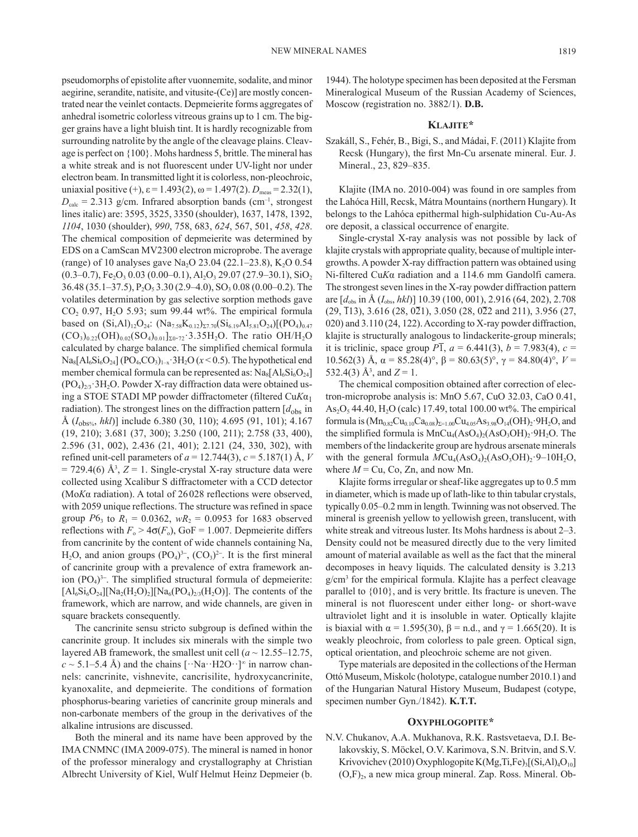pseudomorphs of epistolite after vuonnemite, sodalite, and minor aegirine, serandite, natisite, and vitusite-(Ce)] are mostly concentrated near the veinlet contacts. Depmeierite forms aggregates of anhedral isometric colorless vitreous grains up to 1 cm. The bigger grains have a light bluish tint. It is hardly recognizable from surrounding natrolite by the angle of the cleavage plains. Cleavage is perfect on {100}. Mohs hardness 5, brittle. The mineral has a white streak and is not fluorescent under UV-light nor under electron beam. In transmitted light it is colorless, non-pleochroic, uniaxial positive (+),  $\varepsilon$  = 1.493(2),  $\omega$  = 1.497(2).  $D_{\text{meas}}$  = 2.32(1),  $D_{\text{calc}}$  = 2.313 g/cm. Infrared absorption bands (cm<sup>-1</sup>, strongest lines italic) are: 3595, 3525, 3350 (shoulder), 1637, 1478, 1392, *1104*, 1030 (shoulder), *990*, 758, 683, *624*, 567, 501, *458*, *428*. The chemical composition of depmeierite was determined by EDS on a CamScan MV2300 electron microprobe. The average (range) of 10 analyses gave Na<sub>2</sub>O 23.04 (22.1–23.8), K<sub>2</sub>O 0.54  $(0.3-0.7)$ , Fe<sub>2</sub>O<sub>3</sub> 0.03  $(0.00-0.1)$ , Al<sub>2</sub>O<sub>3</sub> 29.07 (27.9–30.1), SiO<sub>2</sub>  $36.48 (35.1–37.5), P_2O_5 3.30 (2.9–4.0), SO_3 0.08 (0.00–0.2).$  The volatiles determination by gas selective sorption methods gave  $CO<sub>2</sub>$  0.97, H<sub>2</sub>O 5.93; sum 99.44 wt%. The empirical formula based on  $(Si, Al)_{12}O_{24}$ :  $(Na_{7.58}K_{0.12})_{27.70}(Si_{6.19}Al_{5.81}O_{24})[(PO_{4})_{0.47}]$  $(CO_3)_{0.22} (OH)_{0.02} (SO_4)_{0.01}$ <sub>20</sub>.72·3.35H<sub>2</sub>O. The ratio OH/H<sub>2</sub>O calculated by charge balance. The simplified chemical formula  $\text{Na}_{8}[\text{Al}_{6}\text{Si}_{6}\text{O}_{24}]$  (PO<sub>4</sub>,CO<sub>3</sub>)<sub>1-x</sub>·3H<sub>2</sub>O ( $x$  < 0.5). The hypothetical end member chemical formula can be represented as:  $\text{Na}_8[\text{Al}_6\text{Si}_6\text{O}_{24}]$  $(PO_4)_{23}$  3H<sub>2</sub>O. Powder X-ray diffraction data were obtained using a STOE STADI MP powder diffractometer (filtered Cu*K*α<sup>1</sup> radiation). The strongest lines on the diffraction pattern  $[d_{obs}]$  in Å (*I*obs%, *hkl*)] include 6.380 (30, 110); 4.695 (91, 101); 4.167 (19, 210); 3.681 (37, 300); 3.250 (100, 211); 2.758 (33, 400), 2.596 (31, 002), 2.436 (21, 401); 2.121 (24, 330, 302), with refined unit-cell parameters of  $a = 12.744(3)$ ,  $c = 5.187(1)$  Å, *V*  $= 729.4(6)$  Å<sup>3</sup>,  $Z = 1$ . Single-crystal X-ray structure data were collected using Xcalibur S diffractometer with a CCD detector (Mo*K*α radiation). A total of 26 028 reflections were observed, with 2059 unique reflections. The structure was refined in space group  $P6_3$  to  $R_1 = 0.0362$ ,  $wR_2 = 0.0953$  for 1683 observed reflections with  $F_o > 4\sigma(F_o)$ , GoF = 1.007. Depmeierite differs from cancrinite by the content of wide channels containing Na,  $H_2O$ , and anion groups  $(PO_4)^{3-}$ ,  $(CO_3)^{2-}$ . It is the first mineral of cancrinite group with a prevalence of extra framework anion  $(PO<sub>4</sub>)<sup>3-</sup>$ . The simplified structural formula of depmeierite:  $[A1_6Si_6O_{24}][Na_2(H_2O)_2][Na_6(PO_4)_{2/3}(H_2O)]$ . The contents of the framework, which are narrow, and wide channels, are given in square brackets consequently.

The cancrinite sensu stricto subgroup is defined within the cancrinite group. It includes six minerals with the simple two layered AB framework, the smallest unit cell  $(a \sim 12.55 - 12.75)$ ,  $c \sim 5.1 - 5.4$  Å) and the chains  $\lceil \cdot \text{Na} \cdot \text{H2O} \cdot \rceil^{\infty}$  in narrow channels: cancrinite, vishnevite, cancrisilite, hydroxycancrinite, kyanoxalite, and depmeierite. The conditions of formation phosphorus-bearing varieties of cancrinite group minerals and non-carbonate members of the group in the derivatives of the alkaline intrusions are discussed.

Both the mineral and its name have been approved by the IMA CNMNC (IMA 2009-075). The mineral is named in honor of the professor mineralogy and crystallography at Christian Albrecht University of Kiel, Wulf Helmut Heinz Depmeier (b. 1944). The holotype specimen has been deposited at the Fersman Mineralogical Museum of the Russian Academy of Sciences, Moscow (registration no. 3882/1). **D.B.**

#### **Klajite\***

Szakáll, S., Fehér, B., Bigi, S., and Mádai, F. (2011) Klajite from Recsk (Hungary), the first Mn-Cu arsenate mineral. Eur. J. Mineral., 23, 829–835.

Klajite (IMA no. 2010-004) was found in ore samples from the Lahóca Hill, Recsk, Mátra Mountains (northern Hungary). It belongs to the Lahóca epithermal high-sulphidation Cu-Au-As ore deposit, a classical occurrence of enargite.

Single-crystal X-ray analysis was not possible by lack of klajite crystals with appropriate quality, because of multiple intergrowths. A powder X-ray diffraction pattern was obtained using Ni-filtered Cu*K*α radiation and a 114.6 mm Gandolfi camera. The strongest seven lines in the X-ray powder diffraction pattern are [*d*obs in Å (*I*obs, *hkl*)] 10.39 (100, 001), 2.916 (64, 202), 2.708  $(29, \overline{1}13), 3.616 (28, 0\overline{2}1), 3.050 (28, 0\overline{2}2 \text{ and } 211), 3.956 (27,$ 020) and 3.110 (24, 122). According to X-ray powder diffraction, klajite is structurally analogous to lindackerite-group minerals; it is triclinic, space group  $P\bar{1}$ ,  $a = 6.441(3)$ ,  $b = 7.983(4)$ ,  $c =$ 10.562(3) Å, α = 85.28(4)°, β = 80.63(5)°, γ = 84.80(4)°, *V* = 532.4(3)  $\mathring{A}^3$ , and  $Z = 1$ .

The chemical composition obtained after correction of electron-microprobe analysis is: MnO 5.67, CuO 32.03, CaO 0.41,  $As<sub>2</sub>O<sub>5</sub>$  44.40, H<sub>2</sub>O (calc) 17.49, total 100.00 wt%. The empirical formula is  $(Mn_{0.82}Cu_{0.10}Ca_{0.08})_{\Sigma=1.00}Cu_{4.05}As_{3.98}O_{14}(OH)_2.9H_2O$ , and the simplified formula is  $MnCu<sub>4</sub>(AsO<sub>4</sub>)<sub>2</sub>(AsO<sub>3</sub>OH)<sub>2</sub>·9H<sub>2</sub>O$ . The members of the lindackerite group are hydrous arsenate minerals with the general formula  $MCu_4(AsO_4)_2(AsO_3OH)_2.9-10H_2O$ , where  $M = Cu$ , Co, Zn, and now Mn.

Klajite forms irregular or sheaf-like aggregates up to 0.5 mm in diameter, which is made up of lath-like to thin tabular crystals, typically 0.05–0.2 mm in length. Twinning was not observed. The mineral is greenish yellow to yellowish green, translucent, with white streak and vitreous luster. Its Mohs hardness is about 2–3. Density could not be measured directly due to the very limited amount of material available as well as the fact that the mineral decomposes in heavy liquids. The calculated density is 3.213 g/cm3 for the empirical formula. Klajite has a perfect cleavage parallel to {010}, and is very brittle. Its fracture is uneven. The mineral is not fluorescent under either long- or short-wave ultraviolet light and it is insoluble in water. Optically klajite is biaxial with  $\alpha = 1.595(30)$ ,  $\beta =$  n.d., and  $\gamma = 1.665(20)$ . It is weakly pleochroic, from colorless to pale green. Optical sign, optical orientation, and pleochroic scheme are not given.

Type materials are deposited in the collections of the Herman Ottó Museum, Miskolc (holotype, catalogue number 2010.1) and of the Hungarian Natural History Museum, Budapest (cotype, specimen number Gyn./1842). **K.T.T.**

#### **Oxyphlogopite\***

N.V. Chukanov, A.A. Mukhanova, R.K. Rastsvetaeva, D.I. Belakovskiy, S. Möckel, O.V. Karimova, S.N. Britvin, and S.V. Krivovichev (2010) Oxyphlogopite K(Mg,Ti,Fe)<sub>3</sub>[(Si,Al)<sub>4</sub>O<sub>10</sub>]  $(O,F)_2$ , a new mica group mineral. Zap. Ross. Mineral. Ob